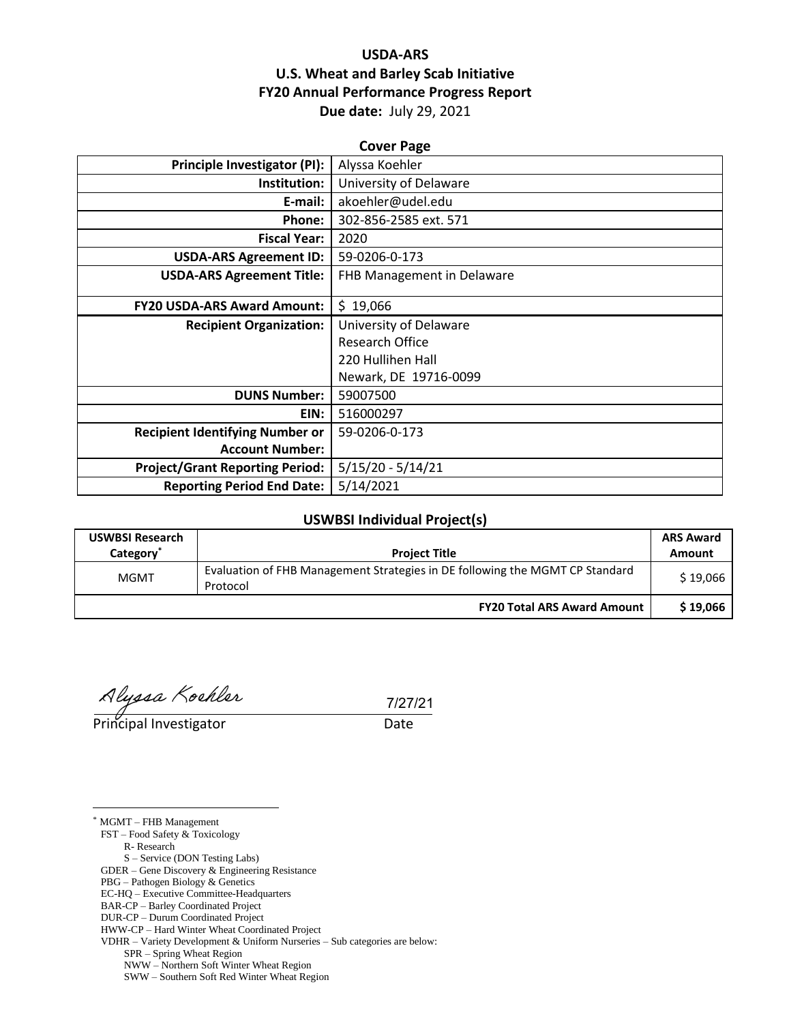## **USDA-ARS U.S. Wheat and Barley Scab Initiative FY20 Annual Performance Progress Report Due date:** July 29, 2021

| <b>Cover Page</b>                      |                            |  |  |  |
|----------------------------------------|----------------------------|--|--|--|
| <b>Principle Investigator (PI):</b>    | Alyssa Koehler             |  |  |  |
| Institution:                           | University of Delaware     |  |  |  |
| E-mail:                                | akoehler@udel.edu          |  |  |  |
| Phone:                                 | 302-856-2585 ext. 571      |  |  |  |
| <b>Fiscal Year:</b>                    | 2020                       |  |  |  |
| <b>USDA-ARS Agreement ID:</b>          | 59-0206-0-173              |  |  |  |
| <b>USDA-ARS Agreement Title:</b>       | FHB Management in Delaware |  |  |  |
|                                        |                            |  |  |  |
| <b>FY20 USDA-ARS Award Amount:</b>     | \$19,066                   |  |  |  |
| <b>Recipient Organization:</b>         | University of Delaware     |  |  |  |
|                                        | <b>Research Office</b>     |  |  |  |
|                                        | 220 Hullihen Hall          |  |  |  |
|                                        | Newark, DE 19716-0099      |  |  |  |
| <b>DUNS Number:</b>                    | 59007500                   |  |  |  |
| EIN:                                   | 516000297                  |  |  |  |
| <b>Recipient Identifying Number or</b> | 59-0206-0-173              |  |  |  |
| <b>Account Number:</b>                 |                            |  |  |  |
| <b>Project/Grant Reporting Period:</b> | $5/15/20 - 5/14/21$        |  |  |  |
| <b>Reporting Period End Date:</b>      | 5/14/2021                  |  |  |  |

#### **USWBSI Individual Project(s)**

| <b>USWBSI Research</b> |                                                                              | <b>ARS Award</b> |  |
|------------------------|------------------------------------------------------------------------------|------------------|--|
| Category               | <b>Project Title</b>                                                         | Amount           |  |
| <b>MGMT</b>            | Evaluation of FHB Management Strategies in DE following the MGMT CP Standard | \$19,066         |  |
|                        | Protocol                                                                     |                  |  |
|                        | <b>FY20 Total ARS Award Amount</b>                                           | \$19,066         |  |

Alyssa Koehler 1/27<br>Principal Investigator Date

7/27/21

 $\overline{a}$ \* MGMT – FHB Management FST – Food Safety & Toxicology R- Research S – Service (DON Testing Labs) GDER – Gene Discovery & Engineering Resistance PBG – Pathogen Biology & Genetics EC-HQ – Executive Committee-Headquarters BAR-CP – Barley Coordinated Project DUR-CP – Durum Coordinated Project HWW-CP – Hard Winter Wheat Coordinated Project VDHR – Variety Development & Uniform Nurseries – Sub categories are below: SPR – Spring Wheat Region NWW – Northern Soft Winter Wheat Region SWW – Southern Soft Red Winter Wheat Region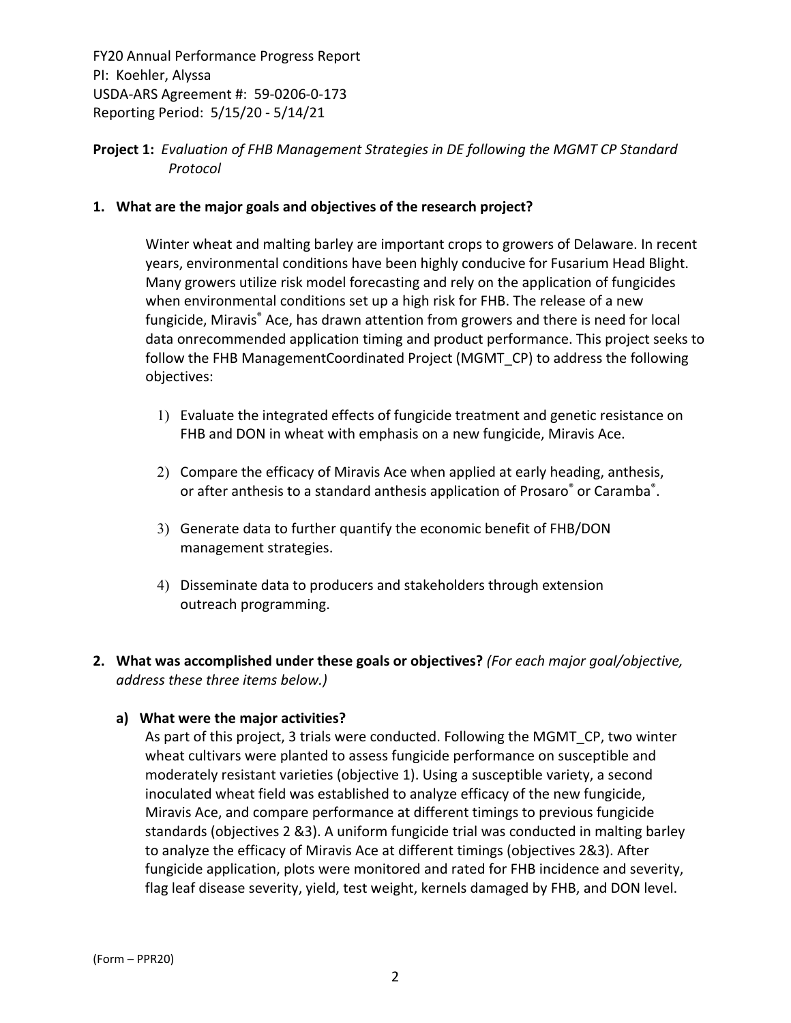## **Project 1:** *Evaluation of FHB Management Strategies in DE following the MGMT CP Standard Protocol*

### **1. What are the major goals and objectives of the research project?**

Winter wheat and malting barley are important crops to growers of Delaware. In recent years, environmental conditions have been highly conducive for Fusarium Head Blight. Many growers utilize risk model forecasting and rely on the application of fungicides when environmental conditions set up a high risk for FHB. The release of a new fungicide, Miravis® Ace, has drawn attention from growers and there is need for local data onrecommended application timing and product performance. This project seeks to follow the FHB ManagementCoordinated Project (MGMT\_CP) to address the following objectives:

- 1) Evaluate the integrated effects of fungicide treatment and genetic resistance on FHB and DON in wheat with emphasis on a new fungicide, Miravis Ace.
- 2) Compare the efficacy of Miravis Ace when applied at early heading, anthesis, or after anthesis to a standard anthesis application of Prosaro<sup>®</sup> or Caramba<sup>®</sup>.
- 3) Generate data to further quantify the economic benefit of FHB/DON management strategies.
- 4) Disseminate data to producers and stakeholders through extension outreach programming.
- **2. What was accomplished under these goals or objectives?** *(For each major goal/objective, address these three items below.)*

#### **a) What were the major activities?**

As part of this project, 3 trials were conducted. Following the MGMT\_CP, two winter wheat cultivars were planted to assess fungicide performance on susceptible and moderately resistant varieties (objective 1). Using a susceptible variety, a second inoculated wheat field was established to analyze efficacy of the new fungicide, Miravis Ace, and compare performance at different timings to previous fungicide standards (objectives 2 &3). A uniform fungicide trial was conducted in malting barley to analyze the efficacy of Miravis Ace at different timings (objectives 2&3). After fungicide application, plots were monitored and rated for FHB incidence and severity, flag leaf disease severity, yield, test weight, kernels damaged by FHB, and DON level.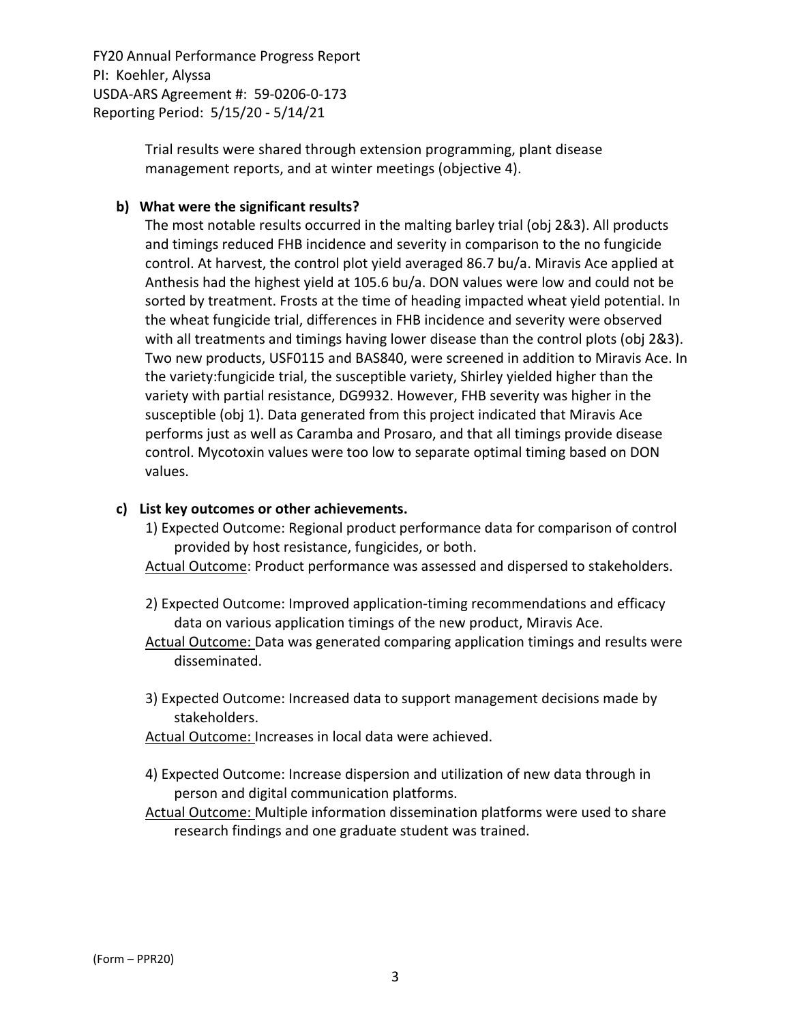> Trial results were shared through extension programming, plant disease management reports, and at winter meetings (objective 4).

#### **b) What were the significant results?**

The most notable results occurred in the malting barley trial (obj 2&3). All products and timings reduced FHB incidence and severity in comparison to the no fungicide control. At harvest, the control plot yield averaged 86.7 bu/a. Miravis Ace applied at Anthesis had the highest yield at 105.6 bu/a. DON values were low and could not be sorted by treatment. Frosts at the time of heading impacted wheat yield potential. In the wheat fungicide trial, differences in FHB incidence and severity were observed with all treatments and timings having lower disease than the control plots (obj 2&3). Two new products, USF0115 and BAS840, were screened in addition to Miravis Ace. In the variety:fungicide trial, the susceptible variety, Shirley yielded higher than the variety with partial resistance, DG9932. However, FHB severity was higher in the susceptible (obj 1). Data generated from this project indicated that Miravis Ace performs just as well as Caramba and Prosaro, and that all timings provide disease control. Mycotoxin values were too low to separate optimal timing based on DON values.

#### **c) List key outcomes or other achievements.**

- 1) Expected Outcome: Regional product performance data for comparison of control provided by host resistance, fungicides, or both.
- Actual Outcome: Product performance was assessed and dispersed to stakeholders.
- 2) Expected Outcome: Improved application‐timing recommendations and efficacy data on various application timings of the new product, Miravis Ace.
- Actual Outcome: Data was generated comparing application timings and results were disseminated.
- 3) Expected Outcome: Increased data to support management decisions made by stakeholders.
- Actual Outcome: Increases in local data were achieved.
- 4) Expected Outcome: Increase dispersion and utilization of new data through in person and digital communication platforms.
- Actual Outcome: Multiple information dissemination platforms were used to share research findings and one graduate student was trained.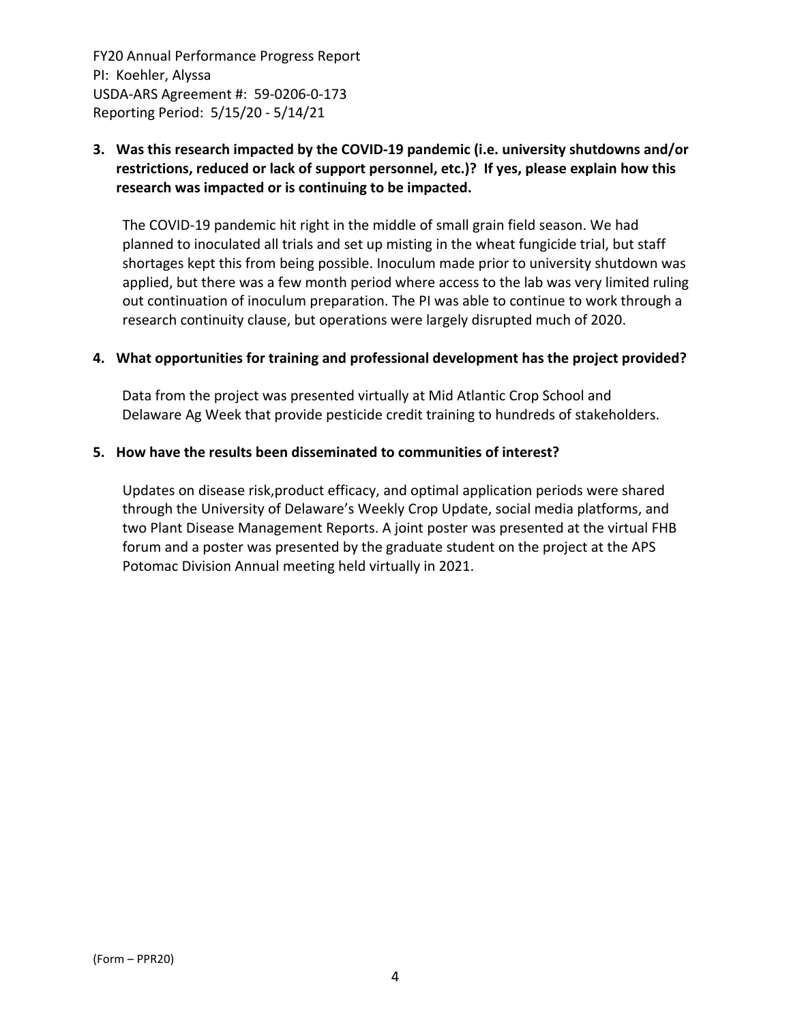## **3. Was this research impacted by the COVID‐19 pandemic (i.e. university shutdowns and/or restrictions, reduced or lack of support personnel, etc.)? If yes, please explain how this research was impacted or is continuing to be impacted.**

The COVID‐19 pandemic hit right in the middle of small grain field season. We had planned to inoculated all trials and set up misting in the wheat fungicide trial, but staff shortages kept this from being possible. Inoculum made prior to university shutdown was applied, but there was a few month period where access to the lab was very limited ruling out continuation of inoculum preparation. The PI was able to continue to work through a research continuity clause, but operations were largely disrupted much of 2020.

#### **4. What opportunities for training and professional development has the project provided?**

Data from the project was presented virtually at Mid Atlantic Crop School and Delaware Ag Week that provide pesticide credit training to hundreds of stakeholders.

#### **5. How have the results been disseminated to communities of interest?**

Updates on disease risk,product efficacy, and optimal application periods were shared through the University of Delaware's Weekly Crop Update, social media platforms, and two Plant Disease Management Reports. A joint poster was presented at the virtual FHB forum and a poster was presented by the graduate student on the project at the APS Potomac Division Annual meeting held virtually in 2021.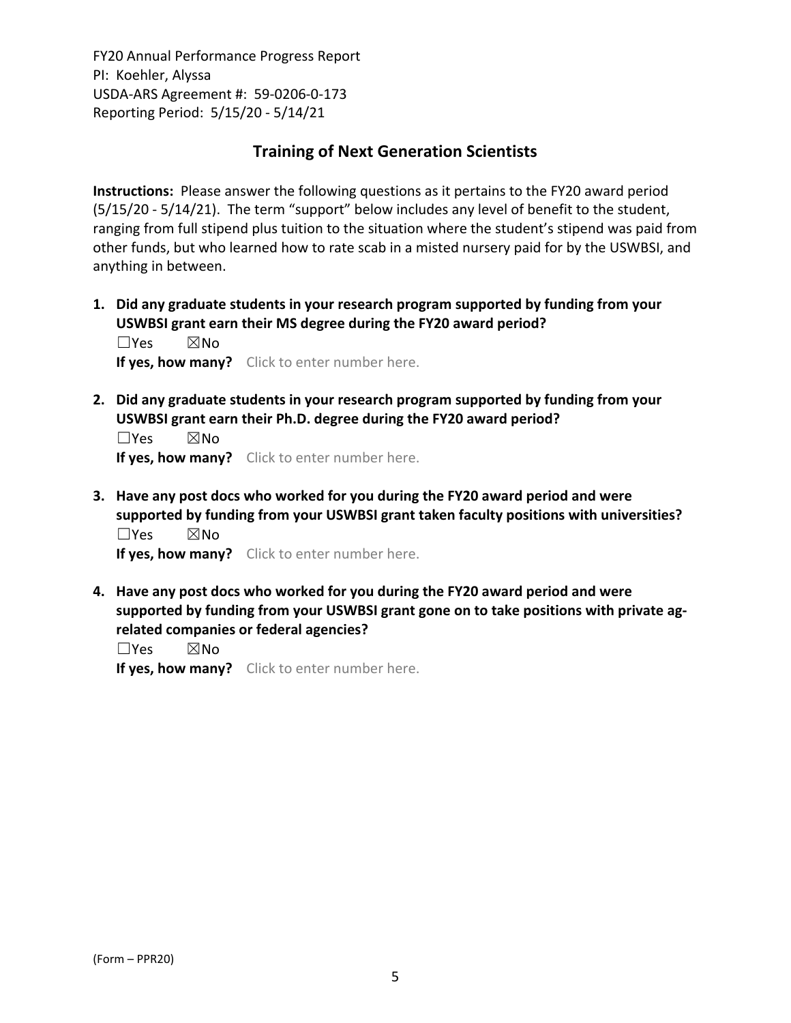## **Training of Next Generation Scientists**

**Instructions:** Please answer the following questions as it pertains to the FY20 award period (5/15/20 ‐ 5/14/21). The term "support" below includes any level of benefit to the student, ranging from full stipend plus tuition to the situation where the student's stipend was paid from other funds, but who learned how to rate scab in a misted nursery paid for by the USWBSI, and anything in between.

**1. Did any graduate students in your research program supported by funding from your USWBSI grant earn their MS degree during the FY20 award period?** ☐Yes ☒No

**If yes, how many?** Click to enter number here.

**2. Did any graduate students in your research program supported by funding from your USWBSI grant earn their Ph.D. degree during the FY20 award period?**

☐Yes ☒No **If yes, how many?** Click to enter number here.

**3. Have any post docs who worked for you during the FY20 award period and were supported by funding from your USWBSI grant taken faculty positions with universities?** ☐Yes ☒No

**If yes, how many?** Click to enter number here.

**4. Have any post docs who worked for you during the FY20 award period and were supported by funding from your USWBSI grant gone on to take positions with private ag‐ related companies or federal agencies?**

☐Yes ☒No

**If yes, how many?** Click to enter number here.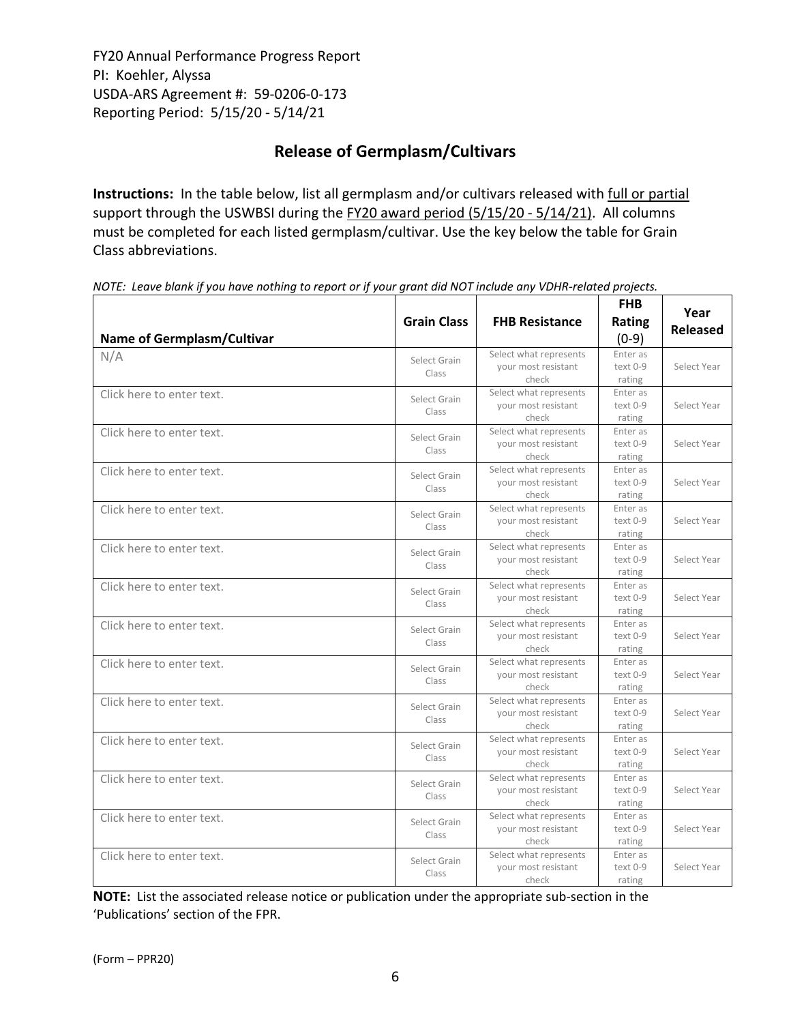# **Release of Germplasm/Cultivars**

**Instructions:** In the table below, list all germplasm and/or cultivars released with full or partial support through the USWBSI during the FY20 award period (5/15/20 - 5/14/21). All columns must be completed for each listed germplasm/cultivar. Use the key below the table for Grain Class abbreviations. 

| Name of Germplasm/Cultivar | <b>Grain Class</b>    | <b>FHB Resistance</b>                                  | <b>FHB</b><br>Rating<br>$(0-9)$  | Year<br><b>Released</b> |
|----------------------------|-----------------------|--------------------------------------------------------|----------------------------------|-------------------------|
| N/A                        | Select Grain<br>Class | Select what represents<br>your most resistant<br>check | Enter as<br>$text 0-9$<br>rating | Select Year             |
| Click here to enter text.  | Select Grain<br>Class | Select what represents<br>your most resistant<br>check | Enter as<br>text 0-9<br>rating   | Select Year             |
| Click here to enter text.  | Select Grain<br>Class | Select what represents<br>your most resistant<br>check | Enter as<br>text 0-9<br>rating   | Select Year             |
| Click here to enter text.  | Select Grain<br>Class | Select what represents<br>your most resistant<br>check | Enter as<br>text 0-9<br>rating   | Select Year             |
| Click here to enter text.  | Select Grain<br>Class | Select what represents<br>your most resistant<br>check | Enter as<br>text 0-9<br>rating   | Select Year             |
| Click here to enter text.  | Select Grain<br>Class | Select what represents<br>your most resistant<br>check | Enter as<br>text 0-9<br>rating   | Select Year             |
| Click here to enter text.  | Select Grain<br>Class | Select what represents<br>your most resistant<br>check | Enter as<br>text 0-9<br>rating   | Select Year             |
| Click here to enter text.  | Select Grain<br>Class | Select what represents<br>your most resistant<br>check | Enter as<br>text 0-9<br>rating   | Select Year             |
| Click here to enter text.  | Select Grain<br>Class | Select what represents<br>your most resistant<br>check | Enter as<br>text 0-9<br>rating   | Select Year             |
| Click here to enter text.  | Select Grain<br>Class | Select what represents<br>your most resistant<br>check | Enter as<br>text 0-9<br>rating   | Select Year             |
| Click here to enter text.  | Select Grain<br>Class | Select what represents<br>your most resistant<br>check | Enter as<br>text 0-9<br>rating   | Select Year             |
| Click here to enter text.  | Select Grain<br>Class | Select what represents<br>your most resistant<br>check | Enter as<br>text 0-9<br>rating   | Select Year             |
| Click here to enter text.  | Select Grain<br>Class | Select what represents<br>your most resistant<br>check | Enter as<br>text 0-9<br>rating   | Select Year             |
| Click here to enter text.  | Select Grain<br>Class | Select what represents<br>your most resistant<br>check | Enter as<br>text 0-9<br>rating   | Select Year             |

NOTE: Leave blank if you have nothing to report or if your grant did NOT include any VDHR-related projects.

**NOTE:** List the associated release notice or publication under the appropriate sub-section in the 'Publications' section of the FPR.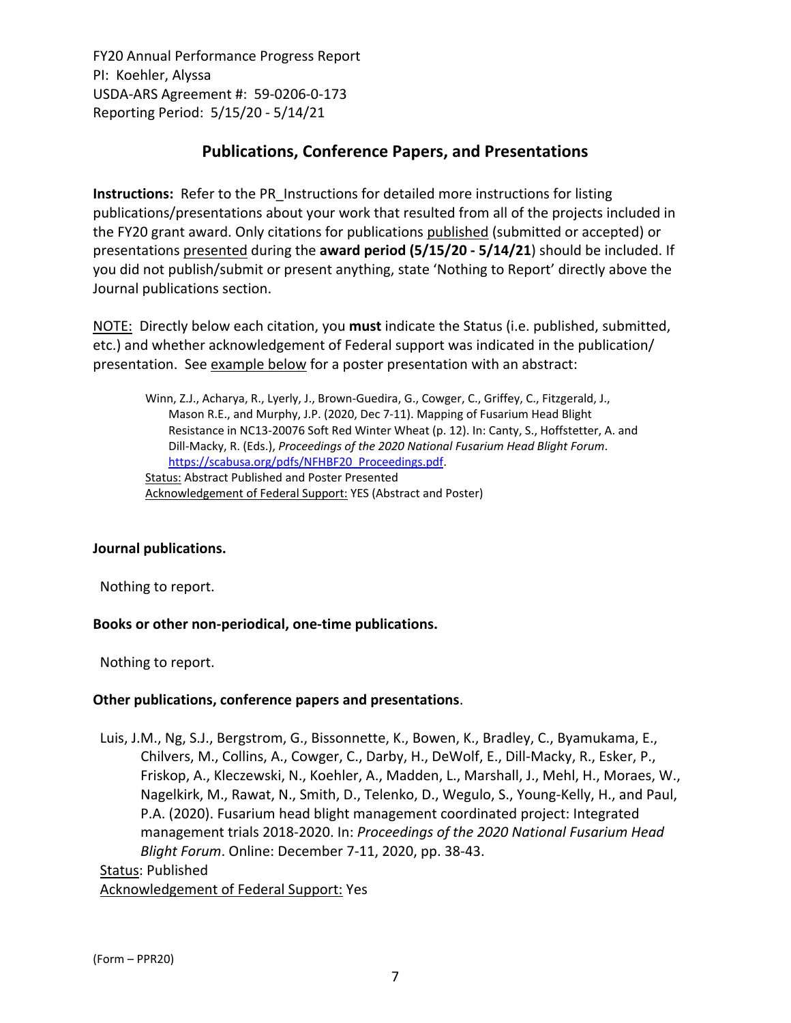# **Publications, Conference Papers, and Presentations**

**Instructions:** Refer to the PR\_Instructions for detailed more instructions for listing publications/presentations about your work that resulted from all of the projects included in the FY20 grant award. Only citations for publications published (submitted or accepted) or presentations presented during the **award period (5/15/20 ‐ 5/14/21**) should be included. If you did not publish/submit or present anything, state 'Nothing to Report' directly above the Journal publications section.

NOTE: Directly below each citation, you **must** indicate the Status (i.e. published, submitted, etc.) and whether acknowledgement of Federal support was indicated in the publication/ presentation. See example below for a poster presentation with an abstract:

Winn, Z.J., Acharya, R., Lyerly, J., Brown‐Guedira, G., Cowger, C., Griffey, C., Fitzgerald, J., Mason R.E., and Murphy, J.P. (2020, Dec 7‐11). Mapping of Fusarium Head Blight Resistance in NC13‐20076 Soft Red Winter Wheat (p. 12). In: Canty, S., Hoffstetter, A. and Dill‐Macky, R. (Eds.), *Proceedings of the 2020 National [Fusarium](https://scabusa.org/pdfs/NFHBF20_Proceedings.pdf) Head Blight Forum*. https://scabusa.org/pdfs/NFHBF20\_Proceedings.pdf. Status: Abstract Published and Poster Presented Acknowledgement of Federal Support: YES (Abstract and Poster)

#### **Journal publications.**

Nothing to report.

#### **Books or other non‐periodical, one‐time publications.**

Nothing to report.

#### **Other publications, conference papers and presentations**.

Luis, J.M., Ng, S.J., Bergstrom, G., Bissonnette, K., Bowen, K., Bradley, C., Byamukama, E., Chilvers, M., Collins, A., Cowger, C., Darby, H., DeWolf, E., Dill‐Macky, R., Esker, P., Friskop, A., Kleczewski, N., Koehler, A., Madden, L., Marshall, J., Mehl, H., Moraes, W., Nagelkirk, M., Rawat, N., Smith, D., Telenko, D., Wegulo, S., Young‐Kelly, H., and Paul, P.A. (2020). Fusarium head blight management coordinated project: Integrated management trials 2018‐2020. In: *Proceedings of the 2020 National Fusarium Head Blight Forum*. Online: December 7‐11, 2020, pp. 38‐43.

#### Status: Published Acknowledgement of Federal Support: Yes